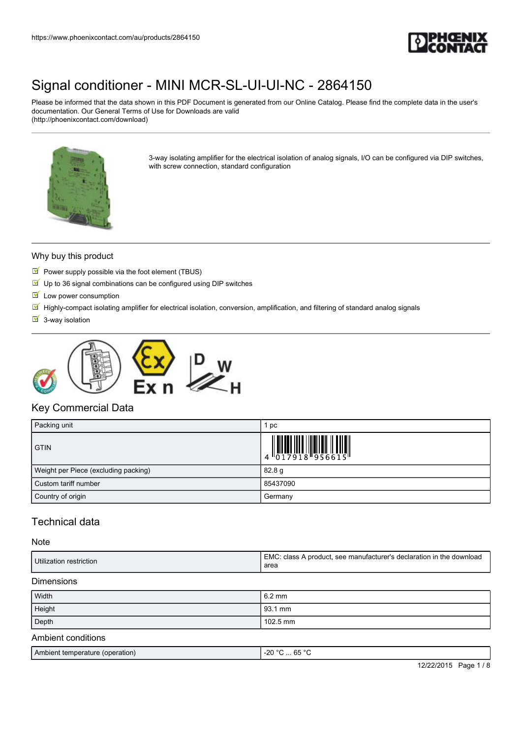

Please be informed that the data shown in this PDF Document is generated from our Online Catalog. Please find the complete data in the user's documentation. Our General Terms of Use for Downloads are valid (http://phoenixcontact.com/download)



3-way isolating amplifier for the electrical isolation of analog signals, I/O can be configured via DIP switches, with screw connection, standard configuration

#### Why buy this product

- Power supply possible via the foot element (TBUS)
- $\blacksquare$  Up to 36 signal combinations can be configured using DIP switches
- $\blacksquare$  Low power consumption
- Highly-compact isolating amplifier for electrical isolation, conversion, amplification, and filtering of standard analog signals
- $\overline{\mathsf{S}}$  3-way isolation



## Key Commercial Data

| Packing unit                         | рc                                                                                                                                                                                                                                                                                                                       |
|--------------------------------------|--------------------------------------------------------------------------------------------------------------------------------------------------------------------------------------------------------------------------------------------------------------------------------------------------------------------------|
| <b>GTIN</b>                          | $\begin{array}{c} 1 & 0 & 0 & 0 & 0 \\ 0 & 0 & 1 & 7 & 9 & 1 & 8 \\ 0 & 0 & 1 & 7 & 9 & 1 & 8 \\ 0 & 0 & 0 & 0 & 0 & 0 & 0 \\ 0 & 0 & 0 & 0 & 0 & 0 & 0 \\ 0 & 0 & 0 & 0 & 0 & 0 & 0 \\ 0 & 0 & 0 & 0 & 0 & 0 & 0 \\ 0 & 0 & 0 & 0 & 0 & 0 & 0 \\ 0 & 0 & 0 & 0 & 0 & 0 & 0 & 0 \\ 0 & 0 & 0 & 0 & 0 & 0 & 0 & 0 \\ 0 &$ |
| Weight per Piece (excluding packing) | 82.8 g                                                                                                                                                                                                                                                                                                                   |
| Custom tariff number                 | 85437090                                                                                                                                                                                                                                                                                                                 |
| Country of origin                    | Germany                                                                                                                                                                                                                                                                                                                  |

## Technical data

#### Note

| Utilization restriction | EMC: class A product, see manufacturer's declaration in the download<br>area |
|-------------------------|------------------------------------------------------------------------------|
| <b>Dimensions</b>       |                                                                              |
| Width                   | $6.2 \text{ mm}$                                                             |
| Height                  | 93.1 mm                                                                      |
| Depth                   | $102.5 \text{ mm}$                                                           |

## Ambient conditions

| <b>Ambient temperature</b><br>(operation) | $\sim$ $\sim$ $\sim$<br>-20<br>$\circ$<br>nr<br>v.<br>∼<br>. .<br>__<br>$\sim$<br>__ |
|-------------------------------------------|--------------------------------------------------------------------------------------|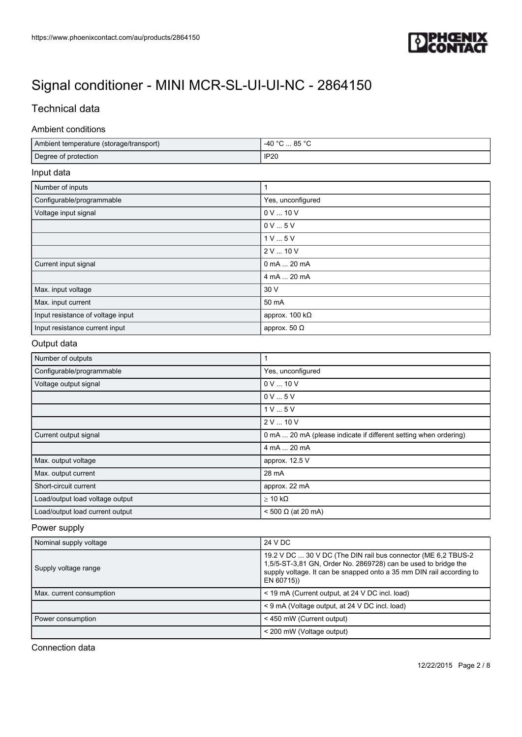

## Technical data

## Ambient conditions

| Ambient temperature (storage/transport) | -40 °C  85 °C                                                    |  |
|-----------------------------------------|------------------------------------------------------------------|--|
| Degree of protection                    | <b>IP20</b>                                                      |  |
| Input data                              |                                                                  |  |
| Number of inputs                        | $\mathbf{1}$                                                     |  |
| Configurable/programmable               | Yes, unconfigured                                                |  |
| Voltage input signal                    | 0 V  10 V                                                        |  |
|                                         | 0V5V                                                             |  |
|                                         | 1V5V                                                             |  |
|                                         | 2 V  10 V                                                        |  |
| Current input signal                    | 0 mA  20 mA                                                      |  |
|                                         | 4 mA  20 mA                                                      |  |
| Max. input voltage                      | 30 V                                                             |  |
| Max. input current                      | 50 mA                                                            |  |
| Input resistance of voltage input       | approx. $100 k\Omega$                                            |  |
| Input resistance current input          | approx. 50 $\Omega$                                              |  |
| Output data                             |                                                                  |  |
| Number of outputs                       | 1                                                                |  |
| Configurable/programmable               | Yes, unconfigured                                                |  |
| Voltage output signal                   | 0 V  10 V                                                        |  |
|                                         | 0V5V                                                             |  |
|                                         | 1V5V                                                             |  |
|                                         | 2 V  10 V                                                        |  |
| Current output signal                   | 0 mA  20 mA (please indicate if different setting when ordering) |  |
|                                         | 4 mA  20 mA                                                      |  |
| Max. output voltage                     | approx. 12.5 V                                                   |  |
| Max. output current                     | 28 mA                                                            |  |
| Short-circuit current                   | approx. 22 mA                                                    |  |
| Load/output load voltage output         | $\geq 10$ k $\Omega$                                             |  |
| Load/output load current output         | < 500 Ω (at 20 mA)                                               |  |

## Power supply

| Nominal supply voltage   | 24 V DC                                                                                                                                                                                                                |
|--------------------------|------------------------------------------------------------------------------------------------------------------------------------------------------------------------------------------------------------------------|
| Supply voltage range     | 19.2 V DC  30 V DC (The DIN rail bus connector (ME 6,2 TBUS-2)<br>1,5/5-ST-3,81 GN, Order No. 2869728) can be used to bridge the<br>supply voltage. It can be snapped onto a 35 mm DIN rail according to<br>EN 60715)) |
| Max. current consumption | < 19 mA (Current output, at 24 V DC incl. load)                                                                                                                                                                        |
|                          | < 9 mA (Voltage output, at 24 V DC incl. load)                                                                                                                                                                         |
| Power consumption        | < 450 mW (Current output)                                                                                                                                                                                              |
|                          | < 200 mW (Voltage output)                                                                                                                                                                                              |

Connection data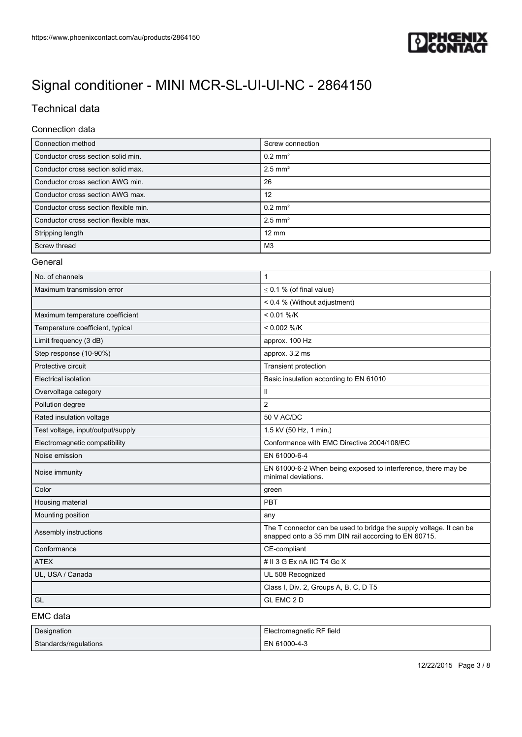

## Technical data

### Connection data

| Connection method                     | Screw connection      |
|---------------------------------------|-----------------------|
| Conductor cross section solid min.    | $0.2$ mm <sup>2</sup> |
| Conductor cross section solid max.    | $2.5$ mm <sup>2</sup> |
| Conductor cross section AWG min.      | 26                    |
| Conductor cross section AWG max.      | 12                    |
| Conductor cross section flexible min. | $0.2$ mm <sup>2</sup> |
| Conductor cross section flexible max. | $2.5$ mm <sup>2</sup> |
| Stripping length                      | $12 \text{ mm}$       |
| Screw thread                          | M3                    |

#### General

| No. of channels                   | 1                                                                                                                           |
|-----------------------------------|-----------------------------------------------------------------------------------------------------------------------------|
| Maximum transmission error        | $\leq$ 0.1 % (of final value)                                                                                               |
|                                   | < 0.4 % (Without adjustment)                                                                                                |
| Maximum temperature coefficient   | $< 0.01 %$ /K                                                                                                               |
| Temperature coefficient, typical  | $< 0.002$ %/K                                                                                                               |
| Limit frequency (3 dB)            | approx. 100 Hz                                                                                                              |
| Step response (10-90%)            | approx. 3.2 ms                                                                                                              |
| Protective circuit                | Transient protection                                                                                                        |
| Electrical isolation              | Basic insulation according to EN 61010                                                                                      |
| Overvoltage category              | $\mathbf{H}$                                                                                                                |
| Pollution degree                  | 2                                                                                                                           |
| Rated insulation voltage          | 50 V AC/DC                                                                                                                  |
| Test voltage, input/output/supply | 1.5 kV (50 Hz, 1 min.)                                                                                                      |
| Electromagnetic compatibility     | Conformance with EMC Directive 2004/108/EC                                                                                  |
| Noise emission                    | EN 61000-6-4                                                                                                                |
| Noise immunity                    | EN 61000-6-2 When being exposed to interference, there may be<br>minimal deviations.                                        |
| Color                             | green                                                                                                                       |
| Housing material                  | PBT                                                                                                                         |
| Mounting position                 | any                                                                                                                         |
| Assembly instructions             | The T connector can be used to bridge the supply voltage. It can be<br>snapped onto a 35 mm DIN rail according to EN 60715. |
| Conformance                       | CE-compliant                                                                                                                |
| <b>ATEX</b>                       | # II 3 G Ex nA IIC T4 Gc X                                                                                                  |
| UL, USA / Canada                  | UL 508 Recognized                                                                                                           |
|                                   | Class I, Div. 2, Groups A, B, C, D T5                                                                                       |
| GL                                | GL EMC 2 D                                                                                                                  |

EMC data

| <b>Designation</b>    | Electromagnetic RF field |
|-----------------------|--------------------------|
| Standards/regulations | EN 61000-4-3             |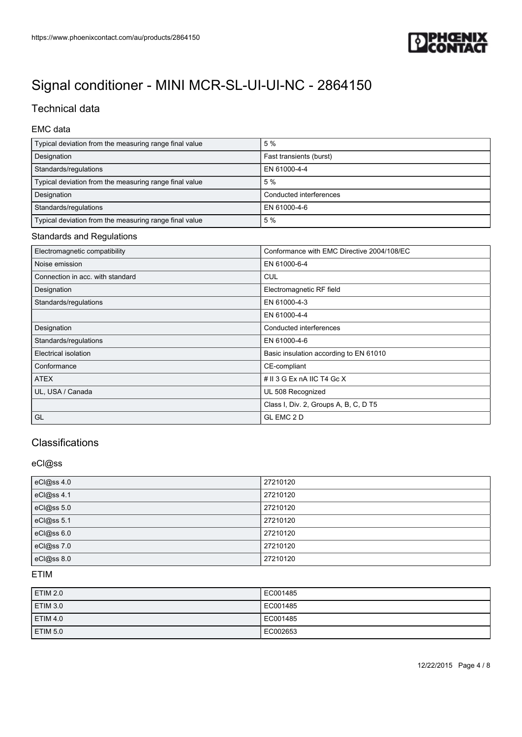

## Technical data

## EMC data

| Typical deviation from the measuring range final value | 5%                      |
|--------------------------------------------------------|-------------------------|
| Designation                                            | Fast transients (burst) |
| Standards/regulations                                  | EN 61000-4-4            |
| Typical deviation from the measuring range final value | 5%                      |
| Designation                                            | Conducted interferences |
| Standards/regulations                                  | EN 61000-4-6            |
| Typical deviation from the measuring range final value | 5%                      |

#### Standards and Regulations

| Electromagnetic compatibility    | Conformance with EMC Directive 2004/108/EC |
|----------------------------------|--------------------------------------------|
| Noise emission                   | EN 61000-6-4                               |
| Connection in acc. with standard | <b>CUL</b>                                 |
| Designation                      | Electromagnetic RF field                   |
| Standards/regulations            | EN 61000-4-3                               |
|                                  | EN 61000-4-4                               |
| Designation                      | Conducted interferences                    |
| Standards/regulations            | EN 61000-4-6                               |
| Electrical isolation             | Basic insulation according to EN 61010     |
| Conformance                      | CE-compliant                               |
| <b>ATEX</b>                      | # $II$ 3 G Ex nA IIC T4 Gc X               |
| UL, USA / Canada                 | UL 508 Recognized                          |
|                                  | Class I, Div. 2, Groups A, B, C, D T5      |
| GL                               | GL EMC 2 D                                 |

## Classifications

#### eCl@ss

| eCl@ss 4.0 | 27210120 |
|------------|----------|
| eCl@ss 4.1 | 27210120 |
| eCl@ss 5.0 | 27210120 |
| eCl@ss 5.1 | 27210120 |
| eCl@ss 6.0 | 27210120 |
| eCl@ss 7.0 | 27210120 |
| eCl@ss 8.0 | 27210120 |

## ETIM

| ETIM 2.0        | EC001485 |
|-----------------|----------|
| ETIM 3.0        | EC001485 |
| ETIM 4.0        | EC001485 |
| <b>ETIM 5.0</b> | EC002653 |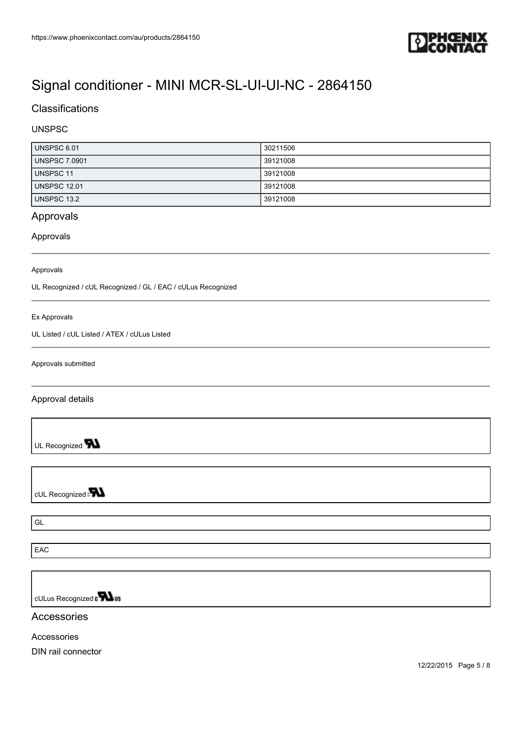

## **Classifications**

### UNSPSC

| UNSPSC 6.01          | 30211506 |
|----------------------|----------|
| <b>UNSPSC 7.0901</b> | 39121008 |
| UNSPSC 11            | 39121008 |
| <b>UNSPSC 12.01</b>  | 39121008 |
| UNSPSC 13.2          | 39121008 |

## Approvals

### Approvals

#### Approvals

UL Recognized / cUL Recognized / GL / EAC / cULus Recognized

#### Ex Approvals

UL Listed / cUL Listed / ATEX / cULus Listed

Approvals submitted

Approval details

UL Recognized **W** 

cUL Recognized a**val** 

GL

EAC

cULus Recognized a **Wus** 

### Accessories

Accessories

DIN rail connector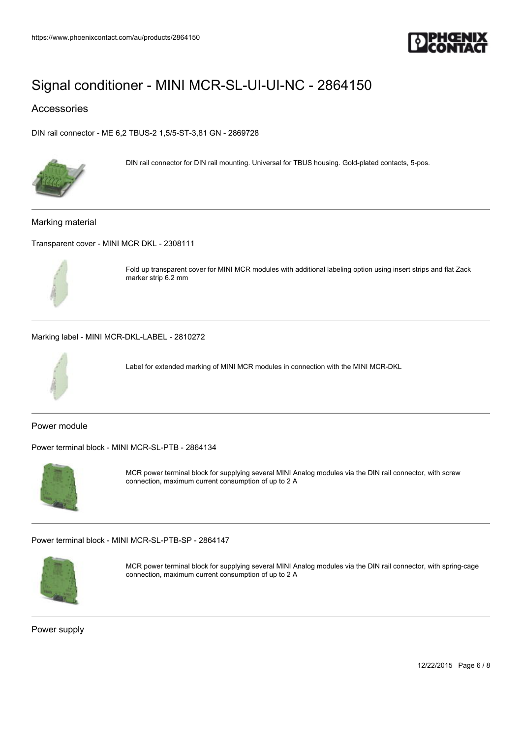

## Accessories

[DIN rail connector - ME 6,2 TBUS-2 1,5/5-ST-3,81 GN - 2869728](https://www.phoenixcontact.com/au/products/2869728)



DIN rail connector for DIN rail mounting. Universal for TBUS housing. Gold-plated contacts, 5-pos.

#### Marking material

[Transparent cover - MINI MCR DKL - 2308111](https://www.phoenixcontact.com/au/products/2308111)



Fold up transparent cover for MINI MCR modules with additional labeling option using insert strips and flat Zack marker strip 6.2 mm

[Marking label - MINI MCR-DKL-LABEL - 2810272](https://www.phoenixcontact.com/au/products/2810272)



Label for extended marking of MINI MCR modules in connection with the MINI MCR-DKL

Power module

[Power terminal block - MINI MCR-SL-PTB - 2864134](https://www.phoenixcontact.com/au/products/2864134)



MCR power terminal block for supplying several MINI Analog modules via the DIN rail connector, with screw connection, maximum current consumption of up to 2 A

[Power terminal block - MINI MCR-SL-PTB-SP - 2864147](https://www.phoenixcontact.com/au/products/2864147)



MCR power terminal block for supplying several MINI Analog modules via the DIN rail connector, with spring-cage connection, maximum current consumption of up to 2 A

Power supply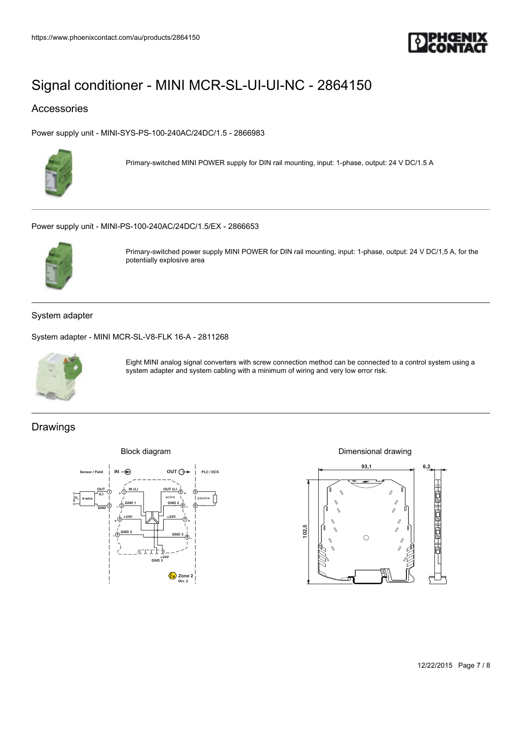

## Accessories

[Power supply unit - MINI-SYS-PS-100-240AC/24DC/1.5 - 2866983](https://www.phoenixcontact.com/au/products/2866983)



Primary-switched MINI POWER supply for DIN rail mounting, input: 1-phase, output: 24 V DC/1.5 A

[Power supply unit - MINI-PS-100-240AC/24DC/1.5/EX - 2866653](https://www.phoenixcontact.com/au/products/2866653)



Primary-switched power supply MINI POWER for DIN rail mounting, input: 1-phase, output: 24 V DC/1,5 A, for the potentially explosive area

### System adapter

[System adapter - MINI MCR-SL-V8-FLK 16-A - 2811268](https://www.phoenixcontact.com/au/products/2811268)



Eight MINI analog signal converters with screw connection method can be connected to a control system using a system adapter and system cabling with a minimum of wiring and very low error risk.

## Drawings



Dimensional drawing



12/22/2015 Page 7 / 8